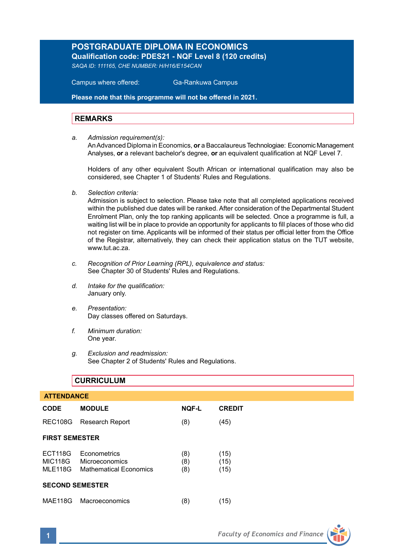# **POSTGRADUATE DIPLOMA IN ECONOMICS Qualification code: PDES21 - NQF Level 8 (120 credits)**

*SAQA ID: 111165, CHE NUMBER: H/H16/E154CAN* 

 Campus where offered: Ga-Rankuwa Campus

**Please note that this programme will not be offered in 2021.**

#### **REMARKS**

*a. Admission requirement(s):* 

An Advanced Diploma in Economics, **or** a Baccalaureus Technologiae: Economic Management Analyses, **or** a relevant bachelor's degree, **or** an equivalent qualification at NQF Level 7.

Holders of any other equivalent South African or international qualification may also be considered, see Chapter 1 of Students' Rules and Regulations.

*b. Selection criteria:*

Admission is subject to selection. Please take note that all completed applications received within the published due dates will be ranked. After consideration of the Departmental Student Enrolment Plan, only the top ranking applicants will be selected. Once a programme is full, a waiting list will be in place to provide an opportunity for applicants to fill places of those who did not register on time. Applicants will be informed of their status per official letter from the Office of the Registrar, alternatively, they can check their application status on the TUT website, www.tut.ac.za

- *c. Recognition of Prior Learning (RPL), equivalence and status:* See Chapter 30 of Students' Rules and Regulations.
- *d. Intake for the qualification:* January only.
- *e. Presentation:* Day classes offered on Saturdays.
- *f. Minimum duration:* One year.
- *g. Exclusion and readmission:* See Chapter 2 of Students' Rules and Regulations.

|                        | <b>CURRICULUM</b>                                                        |                   |                      |  |  |
|------------------------|--------------------------------------------------------------------------|-------------------|----------------------|--|--|
| <b>ATTENDANCE</b>      |                                                                          |                   |                      |  |  |
| <b>CODE</b>            | <b>MODULE</b>                                                            | <b>NOF-L</b>      | <b>CREDIT</b>        |  |  |
| <b>REC108G</b>         | <b>Research Report</b>                                                   | (8)               | (45)                 |  |  |
| <b>FIRST SEMESTER</b>  |                                                                          |                   |                      |  |  |
| <b>ECT118G</b>         | Econometrics<br>MIC118G Microeconomics<br>MLE118G Mathematical Economics | (8)<br>(8)<br>(8) | (15)<br>(15)<br>(15) |  |  |
| <b>SECOND SEMESTER</b> |                                                                          |                   |                      |  |  |
| <b>MAE118G</b>         | Macroeconomics                                                           | (8)               | (15)                 |  |  |

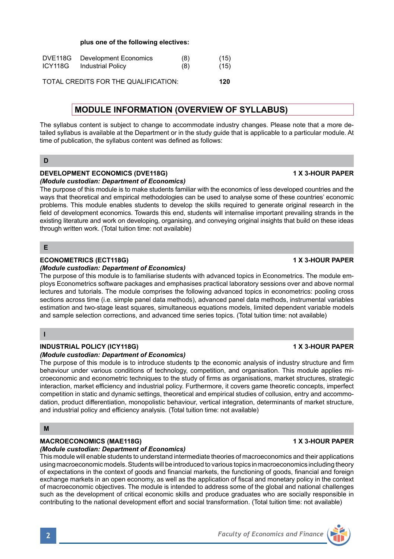### **plus one of the following electives:**

| DVE118G | Development Economics                | (8) | (15) |
|---------|--------------------------------------|-----|------|
| ICY118G | <b>Industrial Policy</b>             | (8) | (15) |
|         |                                      |     |      |
|         | TOTAL CREDITS FOR THE QUALIFICATION: |     | 120  |

## **MODULE INFORMATION (OVERVIEW OF SYLLABUS)**

The syllabus content is subject to change to accommodate industry changes. Please note that a more detailed syllabus is available at the Department or in the study guide that is applicable to a particular module. At time of publication, the syllabus content was defined as follows:

#### **D**

#### **DEVELOPMENT ECONOMICS (DVE118G)** 1 X 3-HOUR PAPER *(Module custodian: Department of Economics)*

The purpose of this module is to make students familiar with the economics of less developed countries and the ways that theoretical and empirical methodologies can be used to analyse some of these countries' economic problems. This module enables students to develop the skills required to generate original research in the field of development economics. Towards this end, students will internalise important prevailing strands in the existing literature and work on developing, organising, and conveying original insights that build on these ideas through written work. (Total tuition time: not available)

### **E**

### **ECONOMETRICS (ECT118G)****1 X 3-HOUR PAPER**

#### *(Module custodian: Department of Economics)*

The purpose of this module is to familiarise students with advanced topics in Econometrics. The module employs Econometrics software packages and emphasises practical laboratory sessions over and above normal lectures and tutorials. The module comprises the following advanced topics in econometrics: pooling cross sections across time (i.e. simple panel data methods), advanced panel data methods, instrumental variables estimation and two-stage least squares, simultaneous equations models, limited dependent variable models and sample selection corrections, and advanced time series topics. (Total tuition time: not available)

#### **I**

### **INDUSTRIAL POLICY (ICY118G) 1 X 3-HOUR PAPER**

#### *(Module custodian: Department of Economics)*

The purpose of this module is to introduce students to the economic analysis of industry structure and firm behaviour under various conditions of technology, competition, and organisation. This module applies microeconomic and econometric techniques to the study of firms as organisations, market structures, strategic interaction, market efficiency and industrial policy. Furthermore, it covers game theoretic concepts, imperfect competition in static and dynamic settings, theoretical and empirical studies of collusion, entry and accommodation, product differentiation, monopolistic behaviour, vertical integration, determinants of market structure, and industrial policy and efficiency analysis. (Total tuition time: not available)

#### **M**

#### MACROECONOMICS (MAE118G) **1 ACCROECONOMICS (MACROECONOMICS**)

#### *(Module custodian: Department of Economics)*

This module will enable students to understand intermediate theories of macroeconomics and their applications using macroeconomic models. Students will be introduced to various topics in macroeconomics including theory of expectations in the context of goods and financial markets, the functioning of goods, financial and foreign exchange markets in an open economy, as well as the application of fiscal and monetary policy in the context of macroeconomic objectives. The module is intended to address some of the global and national challenges such as the development of critical economic skills and produce graduates who are socially responsible in contributing to the national development effort and social transformation. (Total tuition time: not available)